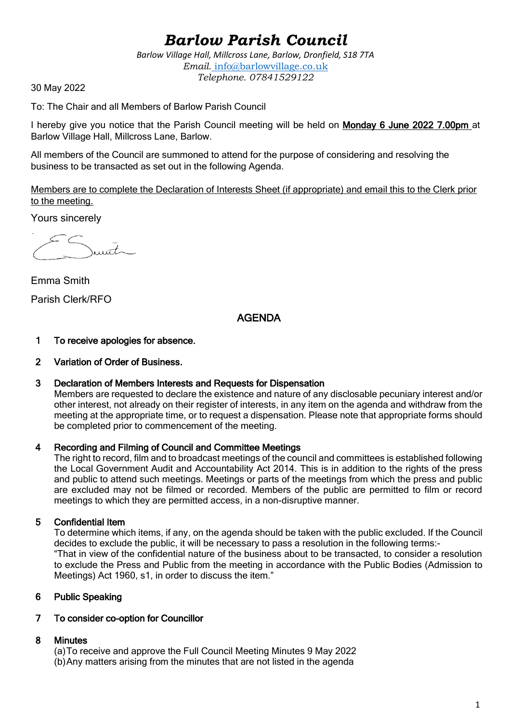# *Barlow Parish Council*

*Barlow Village Hall, Millcross Lane, Barlow, Dronfield, S18 7TA Email.* info@barlowvillage.co.uk *Telephone. 07841529122*

30 May 2022

To: The Chair and all Members of Barlow Parish Council

I hereby give you notice that the Parish Council meeting will be held on Monday 6 June 2022 7.00pm at Barlow Village Hall, Millcross Lane, Barlow.

All members of the Council are summoned to attend for the purpose of considering and resolving the business to be transacted as set out in the following Agenda.

Members are to complete the Declaration of Interests Sheet (if appropriate) and email this to the Clerk prior to the meeting.

Yours sincerely

 $urt$ 

Emma Smith Parish Clerk/RFO

# AGENDA

#### 1 To receive apologies for absence.

#### 2 Variation of Order of Business.

#### 3 Declaration of Members Interests and Requests for Dispensation

Members are requested to declare the existence and nature of any disclosable pecuniary interest and/or other interest, not already on their register of interests, in any item on the agenda and withdraw from the meeting at the appropriate time, or to request a dispensation. Please note that appropriate forms should be completed prior to commencement of the meeting.

#### 4 Recording and Filming of Council and Committee Meetings

The right to record, film and to broadcast meetings of the council and committees is established following the Local Government Audit and Accountability Act 2014. This is in addition to the rights of the press and public to attend such meetings. Meetings or parts of the meetings from which the press and public are excluded may not be filmed or recorded. Members of the public are permitted to film or record meetings to which they are permitted access, in a non-disruptive manner.

#### 5 Confidential Item

To determine which items, if any, on the agenda should be taken with the public excluded. If the Council decides to exclude the public, it will be necessary to pass a resolution in the following terms:- "That in view of the confidential nature of the business about to be transacted, to consider a resolution to exclude the Press and Public from the meeting in accordance with the Public Bodies (Admission to Meetings) Act 1960, s1, in order to discuss the item."

# 6 Public Speaking

#### 7 To consider co-option for Councillor

#### 8 Minutes

(a)To receive and approve the Full Council Meeting Minutes 9 May 2022 (b)Any matters arising from the minutes that are not listed in the agenda